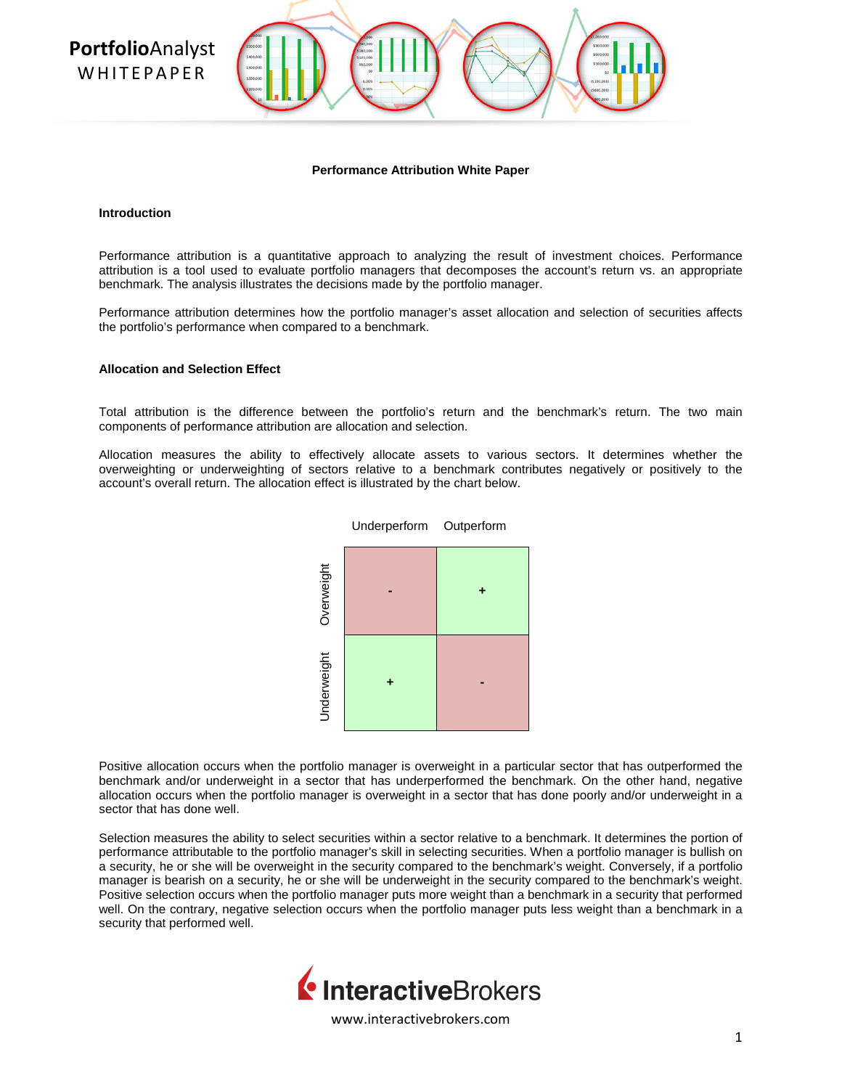**Portfolio**Analyst **WHITFPAPFR** 



#### **Performance Attribution White Paper**

#### **Introduction**

Performance attribution is a quantitative approach to analyzing the result of investment choices. Performance attribution is a tool used to evaluate portfolio managers that decomposes the account's return vs. an appropriate benchmark. The analysis illustrates the decisions made by the portfolio manager.

Performance attribution determines how the portfolio manager's asset allocation and selection of securities affects the portfolio's performance when compared to a benchmark.

## **Allocation and Selection Effect**

Total attribution is the difference between the portfolio's return and the benchmark's return. The two main components of performance attribution are allocation and selection.

Allocation measures the ability to effectively allocate assets to various sectors. It determines whether the overweighting or underweighting of sectors relative to a benchmark contributes negatively or positively to the account's overall return. The allocation effect is illustrated by the chart below.



Positive allocation occurs when the portfolio manager is overweight in a particular sector that has outperformed the benchmark and/or underweight in a sector that has underperformed the benchmark. On the other hand, negative allocation occurs when the portfolio manager is overweight in a sector that has done poorly and/or underweight in a sector that has done well.

Selection measures the ability to select securities within a sector relative to a benchmark. It determines the portion of performance attributable to the portfolio manager's skill in selecting securities. When a portfolio manager is bullish on a security, he or she will be overweight in the security compared to the benchmark's weight. Conversely, if a portfolio manager is bearish on a security, he or she will be underweight in the security compared to the benchmark's weight. Positive selection occurs when the portfolio manager puts more weight than a benchmark in a security that performed well. On the contrary, negative selection occurs when the portfolio manager puts less weight than a benchmark in a security that performed well.

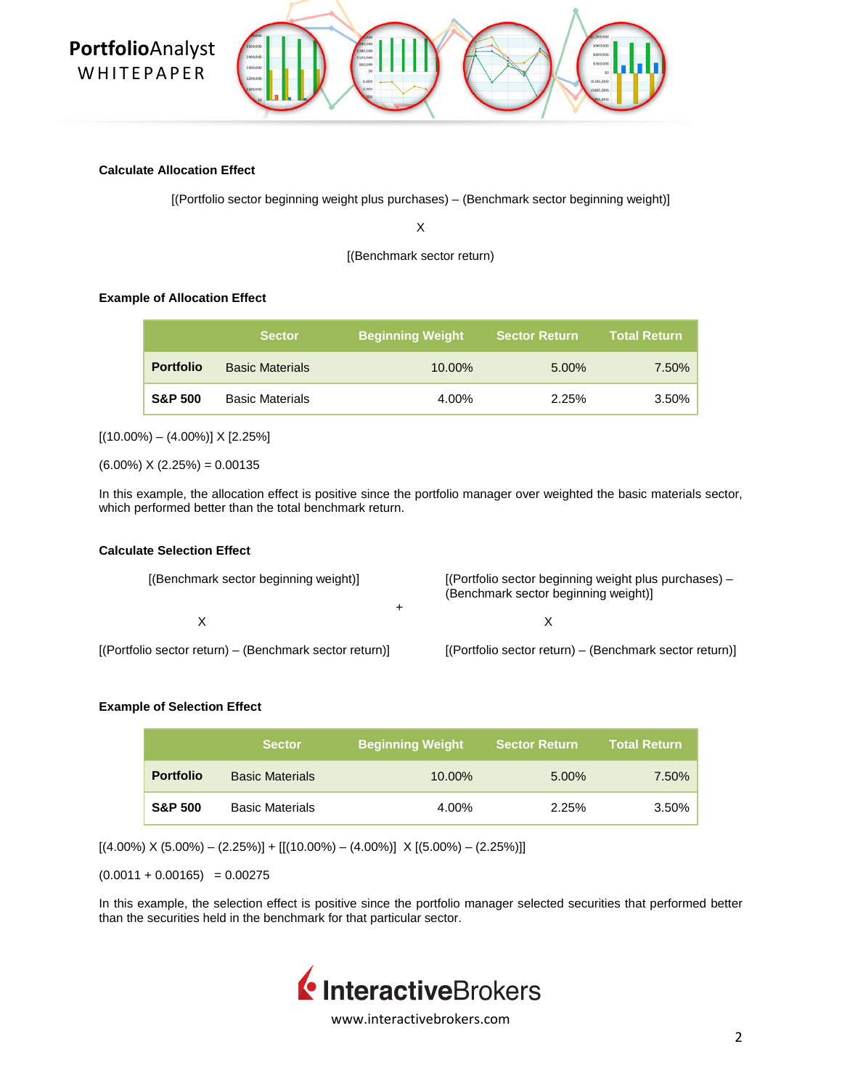

### **Calculate Allocation Effect**

[(Portfolio sector beginning weight plus purchases) – (Benchmark sector beginning weight)]

X

[(Benchmark sector return)

## **Example of Allocation Effect**

|                    | <b>Sector</b>          | ∣ Beginning Weight <sup>∖</sup> | <b>Sector Return</b> | <b>Total Return</b> |
|--------------------|------------------------|---------------------------------|----------------------|---------------------|
| <b>Portfolio</b>   | <b>Basic Materials</b> | 10.00%                          | $5.00\%$             | 7.50%               |
| <b>S&amp;P 500</b> | <b>Basic Materials</b> | 4.00%                           | 2.25%                | 3.50%               |

 $[(10.00\%)-(4.00\%)] \times [2.25\%]$ 

 $(6.00\%) X (2.25\%) = 0.00135$ 

In this example, the allocation effect is positive since the portfolio manager over weighted the basic materials sector, which performed better than the total benchmark return.

## **Calculate Selection Effect**

| [(Benchmark sector beginning weight)]                   | [(Portfolio sector beginning weight plus purchases) -<br>(Benchmark sector beginning weight)] |
|---------------------------------------------------------|-----------------------------------------------------------------------------------------------|
|                                                         |                                                                                               |
| [(Portfolio sector return) – (Benchmark sector return)] | [(Portfolio sector return) - (Benchmark sector return)]                                       |

## **Example of Selection Effect**

|                    | <b>Sector</b>          | <b>Beginning Weight</b> | <b>Sector Return</b> | <b>Total Return</b> |
|--------------------|------------------------|-------------------------|----------------------|---------------------|
| <b>Portfolio</b>   | <b>Basic Materials</b> | 10.00%                  | $5.00\%$             | 7.50%               |
| <b>S&amp;P 500</b> | <b>Basic Materials</b> | 4.00%                   | 2.25%                | 3.50%               |

 $[(4.00\%) \times (5.00\%) - (2.25\%)] + [[(10.00\%) - (4.00\%)] \times [(5.00\%) - (2.25\%)]$ 

 $(0.0011 + 0.00165) = 0.00275$ 

In this example, the selection effect is positive since the portfolio manager selected securities that performed better than the securities held in the benchmark for that particular sector.

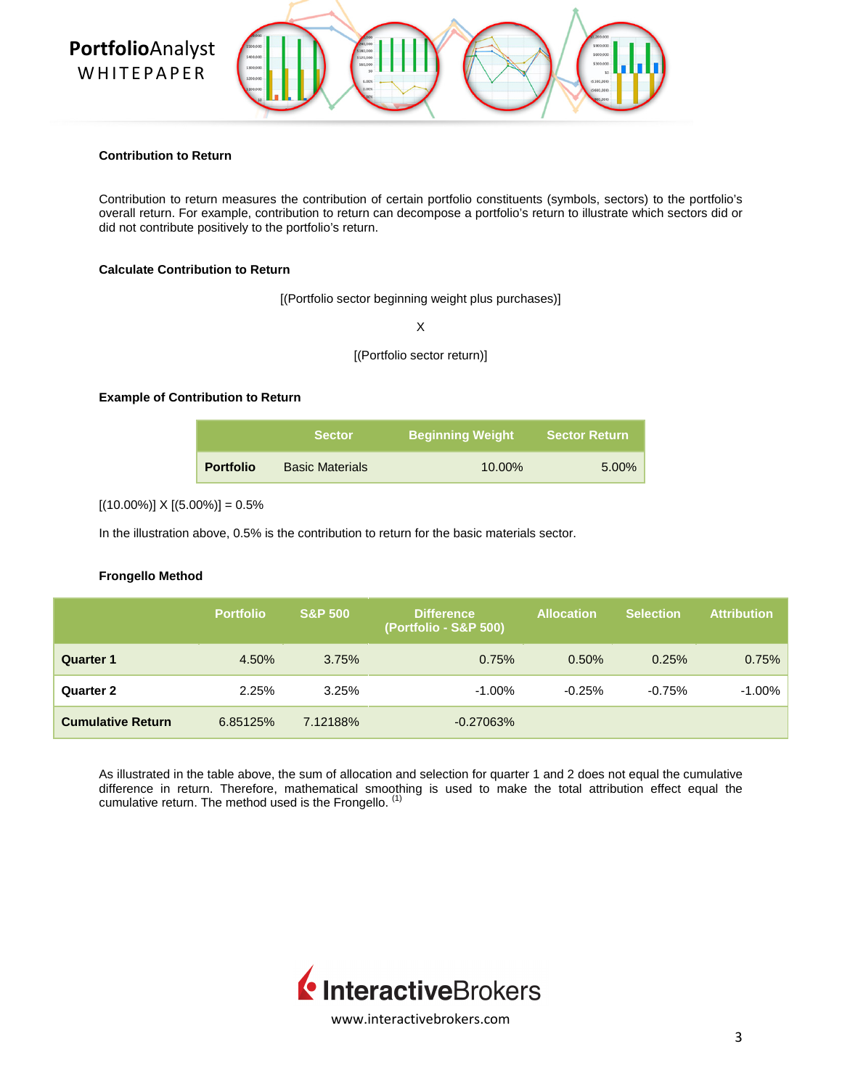# **Portfolio**Analyst **WHITEPAPER**



### **Contribution to Return**

Contribution to return measures the contribution of certain portfolio constituents (symbols, sectors) to the portfolio's overall return. For example, contribution to return can decompose a portfolio's return to illustrate which sectors did or did not contribute positively to the portfolio's return.

## **Calculate Contribution to Return**

[(Portfolio sector beginning weight plus purchases)]

X

[(Portfolio sector return)]

## **Example of Contribution to Return**

|                  | <b>Sector</b>          | <b>Beginning Weight</b> | <b>Sector Return</b> |  |
|------------------|------------------------|-------------------------|----------------------|--|
| <b>Portfolio</b> | <b>Basic Materials</b> | $10.00\%$               | $5.00\%$             |  |

 $[(10.00\%)] \times [(5.00\%)] = 0.5\%$ 

In the illustration above, 0.5% is the contribution to return for the basic materials sector.

## **Frongello Method**

|                          | <b>Portfolio</b> | <b>S&amp;P 500</b> | <b>Difference</b><br>(Portfolio - S&P 500) | <b>Allocation</b> | <b>Selection</b> | <b>Attribution</b> |
|--------------------------|------------------|--------------------|--------------------------------------------|-------------------|------------------|--------------------|
| <b>Quarter 1</b>         | 4.50%            | 3.75%              | 0.75%                                      | 0.50%             | 0.25%            | 0.75%              |
| Quarter 2                | 2.25%            | 3.25%              | $-1.00\%$                                  | $-0.25%$          | $-0.75%$         | $-1.00\%$          |
| <b>Cumulative Return</b> | 6.85125%         | 7.12188%           | $-0.27063%$                                |                   |                  |                    |

As illustrated in the table above, the sum of allocation and selection for quarter 1 and 2 does not equal the cumulative difference in return. Therefore, mathematical smoothing is used to make the total attribution effect equal the cumulative return. The method used is the Frongello.  $<sup>(1)</sup>$ </sup>

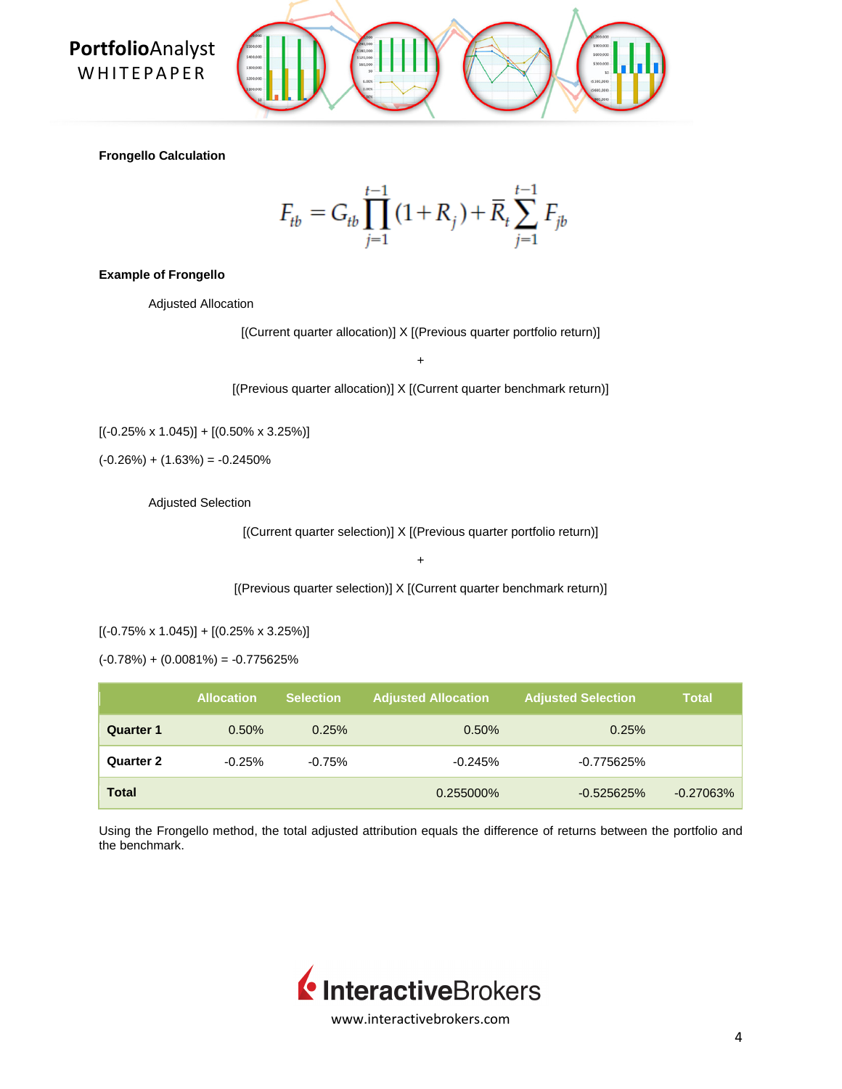**Portfolio**Analyst **WHITEPAPER** 

**Frongello Calculation**

$$
F_{tb} = G_{tb} \prod_{j=1}^{t-1} (1 + R_j) + \overline{R}_t \sum_{j=1}^{t-1} F_{jb}
$$

### **Example of Frongello**

Adjusted Allocation

[(Current quarter allocation)] X [(Previous quarter portfolio return)]

+

[(Previous quarter allocation)] X [(Current quarter benchmark return)]

 $[(-0.25\% \times 1.045)] + [(0.50\% \times 3.25\%)]$ 

 $(-0.26%) + (1.63%) = -0.2450%$ 

Adjusted Selection

[(Current quarter selection)] X [(Previous quarter portfolio return)]

+

[(Previous quarter selection)] X [(Current quarter benchmark return)]

 $[(-0.75\% \times 1.045)] + [(0.25\% \times 3.25\%)]$ 

 $(-0.78%) + (0.0081%) = -0.775625%$ 

|                  | <b>Allocation</b> | <b>Selection</b> | <b>Adjusted Allocation</b> | <b>Adjusted Selection</b> | Total        |
|------------------|-------------------|------------------|----------------------------|---------------------------|--------------|
| <b>Quarter 1</b> | 0.50%             | 0.25%            | 0.50%                      | 0.25%                     |              |
| <b>Quarter 2</b> | $-0.25%$          | $-0.75%$         | $-0.245%$                  | -0.775625%                |              |
| <b>Total</b>     |                   |                  | 0.255000%                  | $-0.525625%$              | $-0.27063\%$ |

Using the Frongello method, the total adjusted attribution equals the difference of returns between the portfolio and the benchmark.